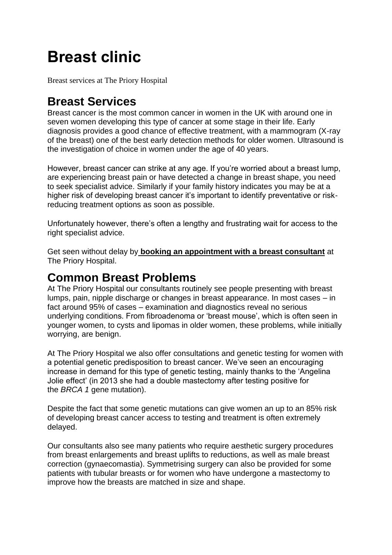# **Breast clinic**

Breast services at The Priory Hospital

#### **Breast Services**

Breast cancer is the most common cancer in women in the UK with around one in seven women developing this type of cancer at some stage in their life. Early diagnosis provides a good chance of effective treatment, with a mammogram (X-ray of the breast) one of the best early detection methods for older women. Ultrasound is the investigation of choice in women under the age of 40 years.

However, breast cancer can strike at any age. If you're worried about a breast lump, are experiencing breast pain or have detected a change in breast shape, you need to seek specialist advice. Similarly if your family history indicates you may be at a higher risk of developing breast cancer it's important to identify preventative or riskreducing treatment options as soon as possible.

Unfortunately however, there's often a lengthy and frustrating wait for access to the right specialist advice.

Get seen without delay by **[booking an appointment with a breast consultant](https://www.circlehealthgroup.co.uk/find-an-appointment)** at The Priory Hospital.

#### **Common Breast Problems**

At The Priory Hospital our consultants routinely see people presenting with breast lumps, pain, nipple discharge or changes in breast appearance. In most cases – in fact around 95% of cases – examination and diagnostics reveal no serious underlying conditions. From fibroadenoma or 'breast mouse', which is often seen in younger women, to cysts and lipomas in older women, these problems, while initially worrying, are benign.

At The Priory Hospital we also offer consultations and genetic testing for women with a potential genetic predisposition to breast cancer. We've seen an encouraging increase in demand for this type of genetic testing, mainly thanks to the 'Angelina Jolie effect' (in 2013 she had a double mastectomy after testing positive for the *BRCA 1* gene mutation).

Despite the fact that some genetic mutations can give women an up to an 85% risk of developing breast cancer access to testing and treatment is often extremely delayed.

Our consultants also see many patients who require aesthetic surgery procedures from breast enlargements and breast uplifts to reductions, as well as male breast correction (gynaecomastia). Symmetrising surgery can also be provided for some patients with tubular breasts or for women who have undergone a mastectomy to improve how the breasts are matched in size and shape.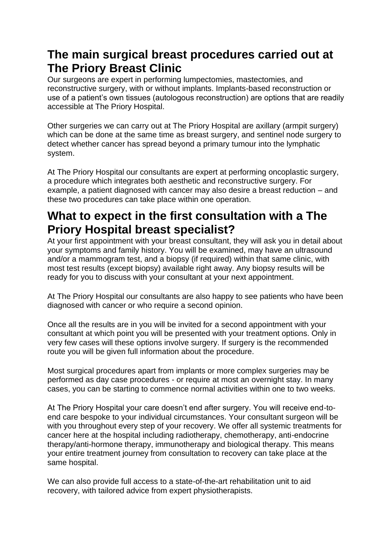## **The main surgical breast procedures carried out at The Priory Breast Clinic**

Our surgeons are expert in performing lumpectomies, mastectomies, and reconstructive surgery, with or without implants. Implants-based reconstruction or use of a patient's own tissues (autologous reconstruction) are options that are readily accessible at The Priory Hospital.

Other surgeries we can carry out at The Priory Hospital are axillary (armpit surgery) which can be done at the same time as breast surgery, and sentinel node surgery to detect whether cancer has spread beyond a primary tumour into the lymphatic system.

At The Priory Hospital our consultants are expert at performing oncoplastic surgery, a procedure which integrates both aesthetic and reconstructive surgery. For example, a patient diagnosed with cancer may also desire a breast reduction – and these two procedures can take place within one operation.

## **What to expect in the first consultation with a The Priory Hospital breast specialist?**

At your first appointment with your breast consultant, they will ask you in detail about your symptoms and family history. You will be examined, may have an ultrasound and/or a mammogram test, and a biopsy (if required) within that same clinic, with most test results (except biopsy) available right away. Any biopsy results will be ready for you to discuss with your consultant at your next appointment.

At The Priory Hospital our consultants are also happy to see patients who have been diagnosed with cancer or who require a second opinion.

Once all the results are in you will be invited for a second appointment with your consultant at which point you will be presented with your treatment options. Only in very few cases will these options involve surgery. If surgery is the recommended route you will be given full information about the procedure.

Most surgical procedures apart from implants or more complex surgeries may be performed as day case procedures - or require at most an overnight stay. In many cases, you can be starting to commence normal activities within one to two weeks.

At The Priory Hospital your care doesn't end after surgery. You will receive end-toend care bespoke to your individual circumstances. Your consultant surgeon will be with you throughout every step of your recovery. We offer all systemic treatments for cancer here at the hospital including radiotherapy, chemotherapy, anti-endocrine therapy/anti-hormone therapy, immunotherapy and biological therapy. This means your entire treatment journey from consultation to recovery can take place at the same hospital.

We can also provide full access to a state-of-the-art rehabilitation unit to aid recovery, with tailored advice from expert physiotherapists.